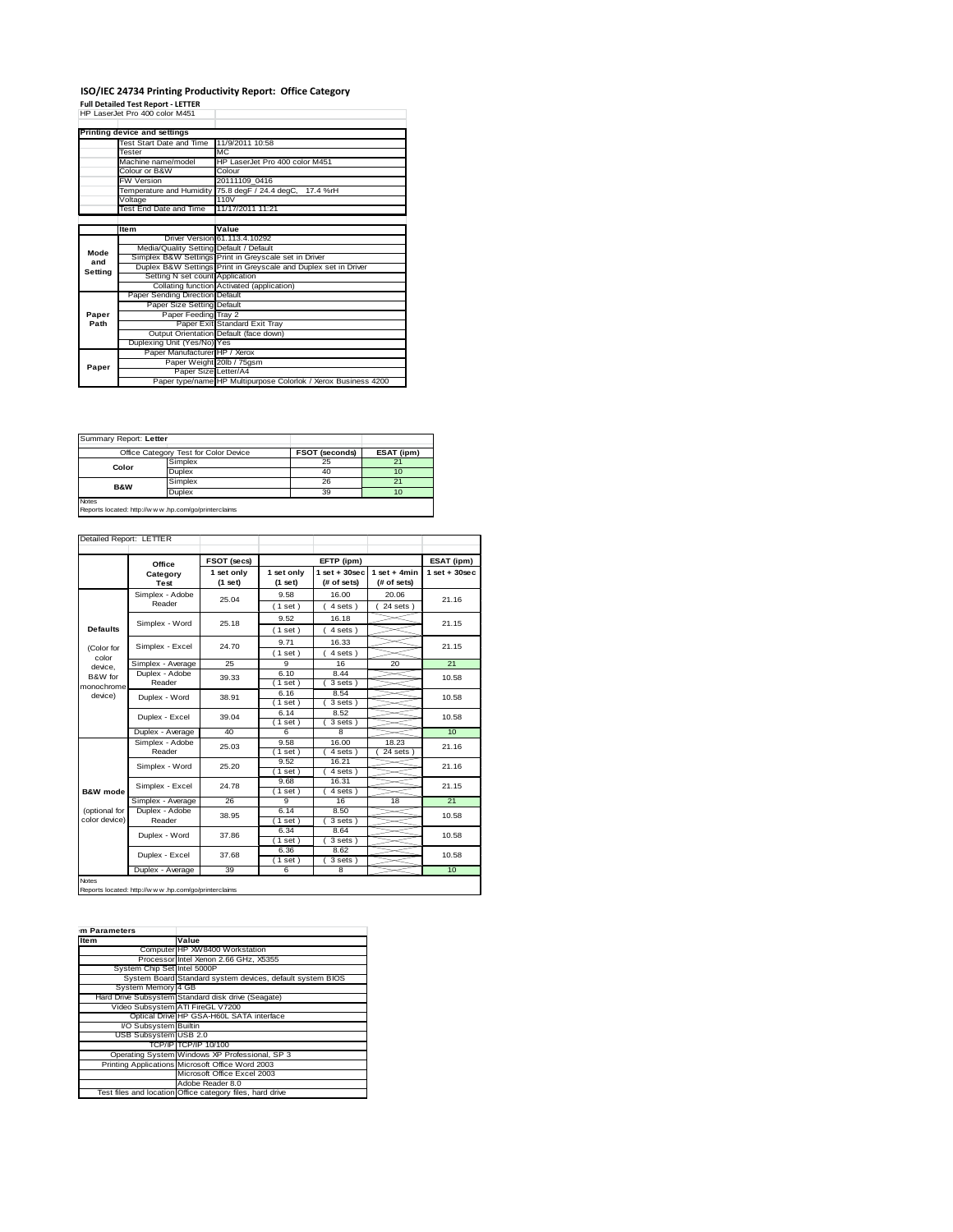## **ISO/IEC 24734 Printing Productivity Report: Office Category Full Detailed Test Report ‐ LETTER** HP LaserJet Pro 400 color M451

|         | Printing device and settings            |                                                                 |
|---------|-----------------------------------------|-----------------------------------------------------------------|
|         | Test Start Date and Time                | 11/9/2011 10:58                                                 |
|         | Tester                                  | M <sub>C</sub>                                                  |
|         | Machine name/model                      | HP LaserJet Pro 400 color M451                                  |
|         | Colour or B&W                           | Colour                                                          |
|         | <b>FW Version</b>                       | 20111109 0416                                                   |
|         |                                         | Temperature and Humidity 75.8 degF / 24.4 degC, 17.4 %rH        |
|         | Voltage                                 | 110V                                                            |
|         | Test End Date and Time                  | 11/17/2011 11:21                                                |
|         |                                         |                                                                 |
|         | Item                                    | Value                                                           |
|         |                                         | Driver Version 61.113.4.10292                                   |
| Mode    | Media/Quality Setting Default / Default |                                                                 |
| and     |                                         | Simplex B&W Settings Print in Greyscale set in Driver           |
| Setting |                                         | Duplex B&W Settings Print in Greyscale and Duplex set in Driver |
|         | Setting N set count Application         |                                                                 |
|         |                                         | Collating function Activated (application)                      |
|         | Paper Sending Direction Default         |                                                                 |
|         | Paper Size Setting Default              |                                                                 |
| Paper   | Paper Feeding Tray 2                    |                                                                 |
| Path    |                                         | Paper Exit Standard Exit Tray                                   |
|         |                                         | Output Orientation Default (face down)                          |
|         | Duplexing Unit (Yes/No) Yes             |                                                                 |
| Paper   | Paper Manufacturer HP / Xerox           |                                                                 |
|         | Paper Weight 20lb / 75gsm               |                                                                 |
|         | Paper Size Letter/A4                    |                                                                 |
|         |                                         | Paper type/name HP Multipurpose Colorlok / Xerox Business 4200  |

| Summary Report: Letter                                                 | Office Category Test for Color Device | FSOT (seconds) | ESAT (ipm) |  |
|------------------------------------------------------------------------|---------------------------------------|----------------|------------|--|
| Color                                                                  | Simplex                               | 25             | 21         |  |
|                                                                        | Duplex                                | 40             | 10         |  |
| <b>B&amp;W</b>                                                         | Simplex                               | 26             | 21         |  |
|                                                                        | Duplex                                | 39             | 10         |  |
| <b>Notes</b><br>Reports located: http://w w w .hp.com/go/printerclaims |                                       |                |            |  |

|                 | Office                    | FSOT (secs)             |                       | EFTP (ipm)                     |                               | ESAT (ipm)              |
|-----------------|---------------------------|-------------------------|-----------------------|--------------------------------|-------------------------------|-------------------------|
|                 | Category<br>Test          | 1 set only<br>$(1$ set) | 1 set only<br>(1 set) | $1$ set + 30sec<br>(# of sets) | $1$ set + 4min<br>(# of sets) | $1$ set + 30sec         |
|                 | Simplex - Adobe<br>Reader | 25.04                   | 9.58                  | 16.00                          | 20.06                         | 21.16                   |
|                 |                           |                         | (1 set)               | 4 sets)                        | $24$ sets)                    |                         |
|                 | Simplex - Word            | 25.18                   | 9.52                  | 16.18                          |                               | 21.15                   |
| <b>Defaults</b> |                           |                         | (1 set)               | 4 sets)                        |                               |                         |
| (Color for      | Simplex - Excel           | 24.70                   | 9.71                  | 16.33                          |                               | 21.15                   |
| color           |                           |                         | (1 set)               | $4 sets$ )                     |                               |                         |
| device.         | Simplex - Average         | 25                      | q                     | 16                             | 20                            | 21                      |
| B&W for         | Duplex - Adobe            | 39.33                   | 6.10                  | 8.44                           |                               | 10.58                   |
| monochrome      | Reader                    |                         | (1 set)               | 3 sets)                        |                               |                         |
| device)         | Duplex - Word             | 38.91                   | 6.16                  | 8.54                           |                               | 10.58                   |
|                 |                           |                         | $1$ set)              | 3 sets)                        |                               |                         |
|                 | Duplex - Excel            | 39.04                   | 6.14                  | 8.52                           |                               | 10.58                   |
|                 |                           |                         | (1 set)               | 3 sets)                        |                               |                         |
|                 | Duplex - Average          | 40                      | 6                     | 8                              |                               | 10 <sup>1</sup>         |
|                 | Simplex - Adobe<br>Reader | 25.03                   | 9.58                  | 16.00                          | 18.23                         | 21.16<br>21.16<br>21.15 |
|                 |                           |                         | $1$ set)              | 4 sets)                        | $24$ sets $)$                 |                         |
|                 | Simplex - Word            | 25.20                   | 9.52                  | 16.21                          |                               |                         |
|                 |                           |                         | (1 set)               | 4 sets)                        |                               |                         |
|                 | Simplex - Excel           | 24.78                   | 9.68                  | 16.31                          |                               |                         |
| B&W mode        |                           |                         | $1$ set)              | 4 sets)                        |                               |                         |
|                 | Simplex - Average         | 26                      | 9                     | 16                             | 18                            | 21                      |
| (optional for   | Duplex - Adobe<br>Reader  | 38.95                   | 6.14                  | 8.50                           |                               | 10.58                   |
| color device)   |                           |                         | (1 set)               | 3 sets)                        |                               |                         |
|                 | Duplex - Word             | 37.86                   | 6.34                  | 8.64                           |                               | 10.58                   |
|                 |                           |                         | (1 set)               | 3 sets)                        |                               |                         |
|                 | Duplex - Excel            | 37.68                   | 6.36                  | 8.62                           |                               | 10.58                   |
|                 |                           |                         | $1$ set)              | 3 sets)                        |                               |                         |
|                 | Duplex - Average          | 39                      | 6                     | 8                              |                               | 10                      |

Notes Reports located: http://w w w .hp.com/go/printerclaims

T

| m Parameters |  |  |
|--------------|--|--|
| <b>I</b> tem |  |  |

| Item                         | Value                                                     |
|------------------------------|-----------------------------------------------------------|
|                              | Computer HP XW8400 Workstation                            |
|                              | Processor Intel Xenon 2.66 GHz, X5355                     |
| System Chip Set Intel 5000P  |                                                           |
|                              | System Board Standard system devices, default system BIOS |
| System Memory 4 GB           |                                                           |
|                              | Hard Drive Subsystem Standard disk drive (Seagate)        |
|                              | Video Subsystem ATI FireGL V7200                          |
|                              | Optical Drive HP GSA-H60L SATA interface                  |
| VO Subsystem Builtin         |                                                           |
| <b>USB Subsystem USB 2.0</b> |                                                           |
|                              | TCP/IPITCP/IP 10/100                                      |
|                              | Operating System Windows XP Professional, SP 3            |
|                              | Printing Applications Microsoft Office Word 2003          |
|                              | Microsoft Office Excel 2003                               |
|                              | Adobe Reader 8.0                                          |
|                              | Test files and location Office category files, hard drive |